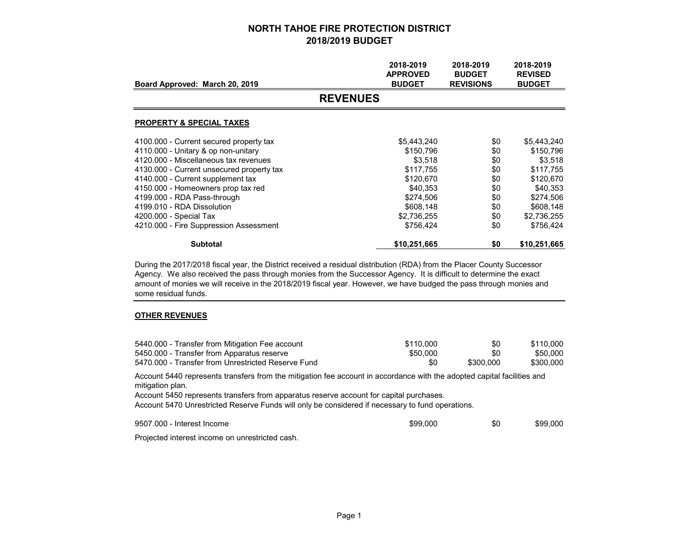|                                           | 2018-2019<br><b>APPROVED</b> | 2018-2019<br><b>BUDGET</b> | 2018-2019<br><b>REVISED</b> |
|-------------------------------------------|------------------------------|----------------------------|-----------------------------|
| Board Approved: March 20, 2019            | <b>BUDGET</b>                | <b>REVISIONS</b>           | <b>BUDGET</b>               |
|                                           | <b>REVENUES</b>              |                            |                             |
| <b>PROPERTY &amp; SPECIAL TAXES</b>       |                              |                            |                             |
| 4100.000 - Current secured property tax   | \$5,443,240                  | \$0                        | \$5,443,240                 |
| 4110.000 - Unitary & op non-unitary       | \$150,796                    | \$0                        | \$150,796                   |
| 4120.000 - Miscellaneous tax revenues     | \$3,518                      | \$0                        | \$3,518                     |
| 4130.000 - Current unsecured property tax | \$117,755                    | \$0                        | \$117,755                   |
| 4140.000 - Current supplement tax         | \$120,670                    | \$0                        | \$120,670                   |
| 4150.000 - Homeowners prop tax red        | \$40,353                     | \$0                        | \$40,353                    |
| 4199.000 - RDA Pass-through               | \$274,506                    | \$0                        | \$274,506                   |
| 4199.010 - RDA Dissolution                | \$608,148                    | \$0                        | \$608,148                   |
| 4200.000 - Special Tax                    | \$2,736,255                  | \$0                        | \$2,736,255                 |
| 4210.000 - Fire Suppression Assessment    | \$756,424                    | \$0                        | \$756,424                   |
| <b>Subtotal</b>                           | \$10,251,665                 | \$0                        | \$10,251,665                |

During the 2017/2018 fiscal year, the District received a residual distribution (RDA) from the Placer County Successor Agency. We also received the pass through monies from the Successor Agency. It is difficult to determine the exact amount of monies we will receive in the 2018/2019 fiscal year. However, we have budged the pass through monies and some residual funds.

#### **OTHER REVENUES**

| 5440.000 - Transfer from Mitigation Fee account    | \$110,000 | \$0       | \$110.000 |
|----------------------------------------------------|-----------|-----------|-----------|
| 5450.000 - Transfer from Apparatus reserve         | \$50,000  | \$0       | \$50,000  |
| 5470.000 - Transfer from Unrestricted Reserve Fund | \$0       | \$300,000 | \$300,000 |

Account 5440 represents transfers from the mitigation fee account in accordance with the adopted capital facilities and mitigation plan.

Account 5450 represents transfers from apparatus reserve account for capital purchases.

Account 5470 Unrestricted Reserve Funds will only be considered if necessary to fund operations.

9507.000 - Interest Income

e \$99,000 \$0 \$99,000

Projected interest income on unrestricted cash.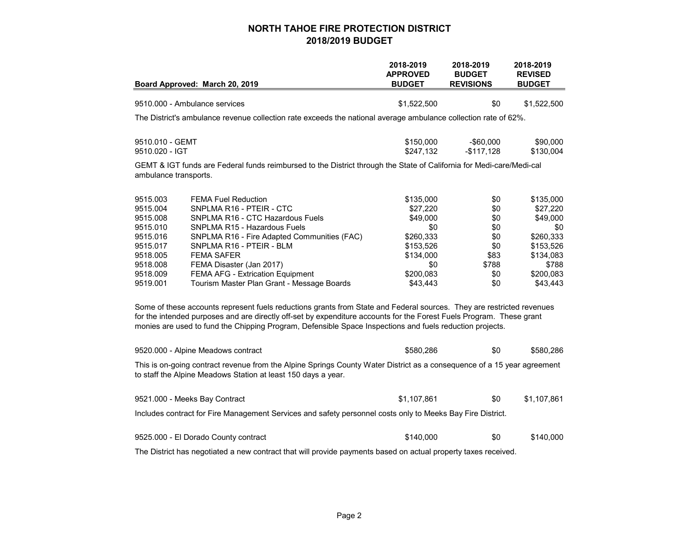|                                                                                                                                                                                                                                                                                                                                                           | Board Approved: March 20, 2019                                                                                       | 2018-2019<br><b>APPROVED</b><br><b>BUDGET</b> | 2018-2019<br><b>BUDGET</b><br><b>REVISIONS</b> | 2018-2019<br><b>REVISED</b><br><b>BUDGET</b> |  |
|-----------------------------------------------------------------------------------------------------------------------------------------------------------------------------------------------------------------------------------------------------------------------------------------------------------------------------------------------------------|----------------------------------------------------------------------------------------------------------------------|-----------------------------------------------|------------------------------------------------|----------------------------------------------|--|
|                                                                                                                                                                                                                                                                                                                                                           |                                                                                                                      |                                               |                                                |                                              |  |
|                                                                                                                                                                                                                                                                                                                                                           | 9510.000 - Ambulance services                                                                                        | \$1,522,500                                   | \$0                                            | \$1,522,500                                  |  |
|                                                                                                                                                                                                                                                                                                                                                           | The District's ambulance revenue collection rate exceeds the national average ambulance collection rate of 62%.      |                                               |                                                |                                              |  |
| 9510.010 - GEMT                                                                                                                                                                                                                                                                                                                                           |                                                                                                                      | \$150,000                                     | $-$ \$60,000                                   | \$90,000                                     |  |
| 9510.020 - IGT                                                                                                                                                                                                                                                                                                                                            |                                                                                                                      | \$247,132                                     | $-$117,128$                                    | \$130,004                                    |  |
| ambulance transports.                                                                                                                                                                                                                                                                                                                                     | GEMT & IGT funds are Federal funds reimbursed to the District through the State of California for Medi-care/Medi-cal |                                               |                                                |                                              |  |
| 9515.003                                                                                                                                                                                                                                                                                                                                                  | <b>FEMA Fuel Reduction</b>                                                                                           | \$135,000                                     | \$0                                            | \$135,000                                    |  |
| 9515.004                                                                                                                                                                                                                                                                                                                                                  | SNPLMA R16 - PTEIR - CTC                                                                                             | \$27,220                                      | \$0                                            | \$27,220                                     |  |
| 9515.008<br>9515.010                                                                                                                                                                                                                                                                                                                                      | SNPLMA R16 - CTC Hazardous Fuels<br>SNPLMA R15 - Hazardous Fuels                                                     | \$49,000<br>\$0                               | \$0<br>\$0                                     | \$49,000<br>\$0                              |  |
| 9515.016                                                                                                                                                                                                                                                                                                                                                  | SNPLMA R16 - Fire Adapted Communities (FAC)                                                                          | \$260,333                                     | \$0                                            | \$260,333                                    |  |
| 9515.017                                                                                                                                                                                                                                                                                                                                                  | SNPLMA R16 - PTEIR - BLM                                                                                             | \$153,526                                     | \$0                                            | \$153,526                                    |  |
| 9518.005                                                                                                                                                                                                                                                                                                                                                  | <b>FEMA SAFER</b>                                                                                                    | \$134,000                                     | \$83                                           | \$134,083                                    |  |
| 9518.008                                                                                                                                                                                                                                                                                                                                                  | FEMA Disaster (Jan 2017)                                                                                             | \$0                                           | \$788                                          | \$788                                        |  |
| 9518.009                                                                                                                                                                                                                                                                                                                                                  | FEMA AFG - Extrication Equipment                                                                                     | \$200,083                                     | \$0                                            | \$200,083                                    |  |
| 9519.001                                                                                                                                                                                                                                                                                                                                                  | Tourism Master Plan Grant - Message Boards                                                                           | \$43,443                                      | \$0                                            | \$43,443                                     |  |
| Some of these accounts represent fuels reductions grants from State and Federal sources. They are restricted revenues<br>for the intended purposes and are directly off-set by expenditure accounts for the Forest Fuels Program. These grant<br>monies are used to fund the Chipping Program, Defensible Space Inspections and fuels reduction projects. |                                                                                                                      |                                               |                                                |                                              |  |
|                                                                                                                                                                                                                                                                                                                                                           | 9520.000 - Alpine Meadows contract                                                                                   | \$580,286                                     | \$0                                            | \$580,286                                    |  |
| This is on-going contract revenue from the Alpine Springs County Water District as a consequence of a 15 year agreement<br>to staff the Alpine Meadows Station at least 150 days a year.                                                                                                                                                                  |                                                                                                                      |                                               |                                                |                                              |  |
|                                                                                                                                                                                                                                                                                                                                                           | 9521.000 - Meeks Bay Contract                                                                                        | \$1,107,861                                   | \$0                                            | \$1,107,861                                  |  |
|                                                                                                                                                                                                                                                                                                                                                           | Includes contract for Fire Management Services and safety personnel costs only to Meeks Bay Fire District.           |                                               |                                                |                                              |  |
|                                                                                                                                                                                                                                                                                                                                                           | 9525.000 - El Dorado County contract                                                                                 | \$140,000                                     | \$0                                            | \$140,000                                    |  |
|                                                                                                                                                                                                                                                                                                                                                           | The District has negotiated a new contract that will provide payments based on actual property taxes received.       |                                               |                                                |                                              |  |
|                                                                                                                                                                                                                                                                                                                                                           |                                                                                                                      |                                               |                                                |                                              |  |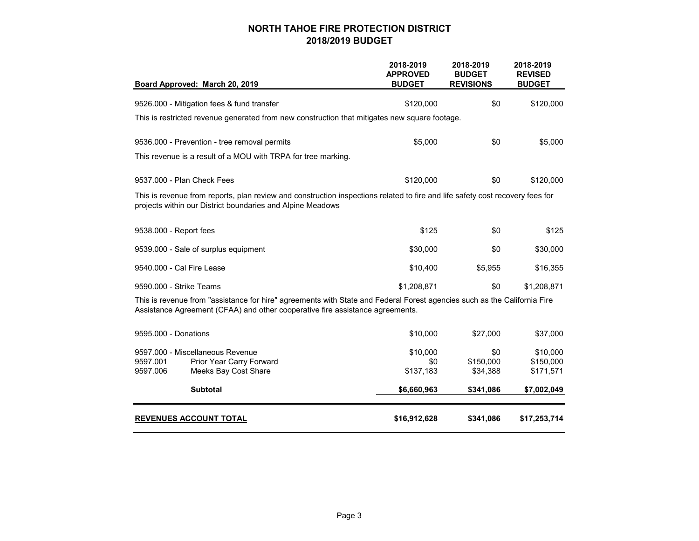| Board Approved: March 20, 2019                                                                                                                                                                            | 2018-2019<br><b>APPROVED</b><br><b>BUDGET</b> | 2018-2019<br><b>BUDGET</b><br><b>REVISIONS</b> | 2018-2019<br><b>REVISED</b><br><b>BUDGET</b> |
|-----------------------------------------------------------------------------------------------------------------------------------------------------------------------------------------------------------|-----------------------------------------------|------------------------------------------------|----------------------------------------------|
|                                                                                                                                                                                                           |                                               |                                                |                                              |
| 9526.000 - Mitigation fees & fund transfer                                                                                                                                                                | \$120,000                                     | \$0                                            | \$120,000                                    |
| This is restricted revenue generated from new construction that mitigates new square footage.                                                                                                             |                                               |                                                |                                              |
| 9536.000 - Prevention - tree removal permits                                                                                                                                                              | \$5,000                                       | \$0                                            | \$5,000                                      |
| This revenue is a result of a MOU with TRPA for tree marking.                                                                                                                                             |                                               |                                                |                                              |
| 9537,000 - Plan Check Fees                                                                                                                                                                                | \$120,000                                     | \$0                                            | \$120,000                                    |
| This is revenue from reports, plan review and construction inspections related to fire and life safety cost recovery fees for<br>projects within our District boundaries and Alpine Meadows               |                                               |                                                |                                              |
| 9538.000 - Report fees                                                                                                                                                                                    | \$125                                         | \$0                                            | \$125                                        |
| 9539.000 - Sale of surplus equipment                                                                                                                                                                      | \$30,000                                      | \$0                                            | \$30,000                                     |
| 9540,000 - Cal Fire Lease                                                                                                                                                                                 | \$10,400                                      | \$5,955                                        | \$16,355                                     |
| 9590.000 - Strike Teams                                                                                                                                                                                   | \$1,208,871                                   | \$0                                            | \$1,208,871                                  |
| This is revenue from "assistance for hire" agreements with State and Federal Forest agencies such as the California Fire<br>Assistance Agreement (CFAA) and other cooperative fire assistance agreements. |                                               |                                                |                                              |
| 9595.000 - Donations                                                                                                                                                                                      | \$10,000                                      | \$27,000                                       | \$37,000                                     |
| 9597.000 - Miscellaneous Revenue<br>9597.001<br>Prior Year Carry Forward<br>9597.006<br>Meeks Bay Cost Share                                                                                              | \$10,000<br>\$0<br>\$137,183                  | \$0<br>\$150,000<br>\$34,388                   | \$10,000<br>\$150,000<br>\$171,571           |
| Subtotal                                                                                                                                                                                                  | \$6,660,963                                   | \$341,086                                      | \$7,002,049                                  |
| REVENUES ACCOUNT TOTAL                                                                                                                                                                                    | \$16,912,628                                  | \$341,086                                      | \$17,253,714                                 |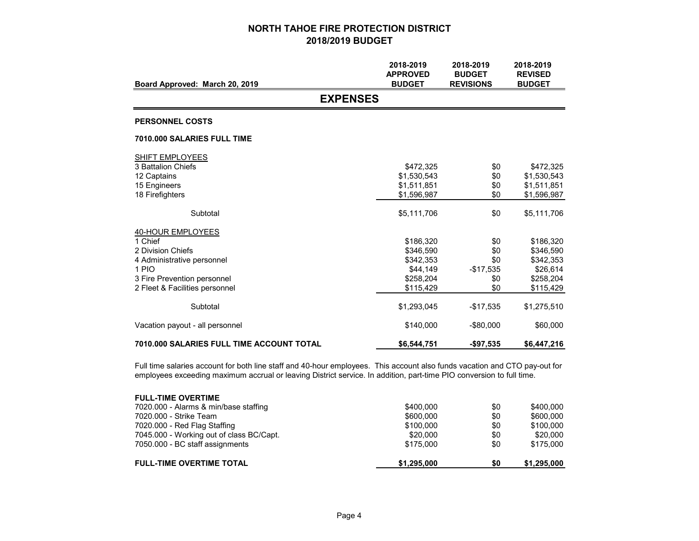|                                                   | 2018-2019<br><b>APPROVED</b> | 2018-2019<br><b>BUDGET</b> | 2018-2019<br><b>REVISED</b> |
|---------------------------------------------------|------------------------------|----------------------------|-----------------------------|
| Board Approved: March 20, 2019<br><b>EXPENSES</b> | <b>BUDGET</b>                | <b>REVISIONS</b>           | <b>BUDGET</b>               |
|                                                   |                              |                            |                             |
| <b>PERSONNEL COSTS</b>                            |                              |                            |                             |
| 7010,000 SALARIES FULL TIME                       |                              |                            |                             |
| <b>SHIFT EMPLOYEES</b>                            |                              |                            |                             |
| 3 Battalion Chiefs                                | \$472,325                    | \$0                        | \$472,325                   |
| 12 Captains                                       | \$1,530,543                  | \$0                        | \$1,530,543                 |
| 15 Engineers<br>18 Firefighters                   | \$1,511,851<br>\$1,596,987   | \$0<br>\$0                 | \$1,511,851<br>\$1,596,987  |
|                                                   |                              |                            |                             |
| Subtotal                                          | \$5,111,706                  | \$0                        | \$5,111,706                 |
| 40-HOUR EMPLOYEES                                 |                              |                            |                             |
| 1 Chief                                           | \$186,320                    | \$0                        | \$186,320                   |
| 2 Division Chiefs                                 | \$346,590                    | \$0                        | \$346,590                   |
| 4 Administrative personnel<br>1 PIO               | \$342.353                    | \$0                        | \$342,353                   |
| 3 Fire Prevention personnel                       | \$44,149<br>\$258,204        | $-$17,535$<br>\$0          | \$26,614<br>\$258,204       |
| 2 Fleet & Facilities personnel                    | \$115,429                    | \$0                        | \$115,429                   |
|                                                   |                              |                            |                             |
| Subtotal                                          | \$1,293,045                  | $-$17,535$                 | \$1,275,510                 |
| Vacation payout - all personnel                   | \$140,000                    | $-$80,000$                 | \$60,000                    |
| <b>7010.000 SALARIES FULL TIME ACCOUNT TOTAL</b>  | \$6,544,751                  | $-$97,535$                 | \$6,447,216                 |

Full time salaries account for both line staff and 40-hour employees. This account also funds vacation and CTO pay-out for employees exceeding maximum accrual or leaving District service. In addition, part-time PIO conversion to full time.

|           | \$0         | \$1,295,000 |
|-----------|-------------|-------------|
| \$175,000 | \$0         | \$175,000   |
| \$20,000  | \$0         | \$20,000    |
| \$100,000 | \$0         | \$100.000   |
| \$600,000 | \$0         | \$600,000   |
| \$400.000 | \$0         | \$400.000   |
|           |             |             |
|           | \$1,295,000 |             |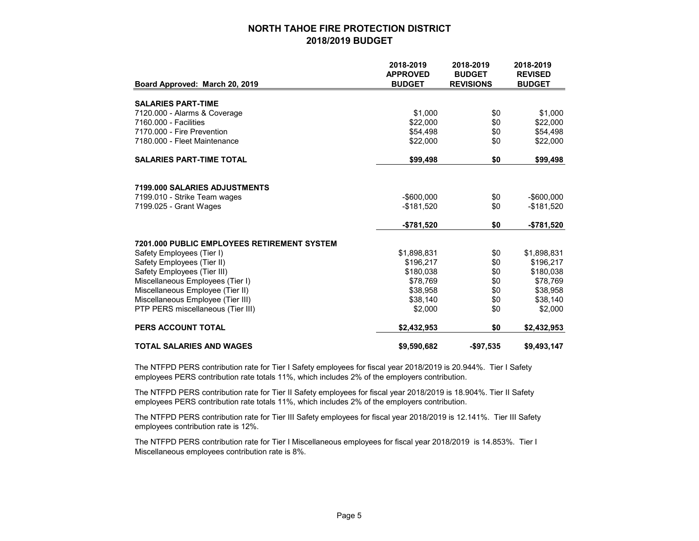|                                             | 2018-2019<br><b>APPROVED</b> | 2018-2019<br><b>BUDGET</b> | 2018-2019<br><b>REVISED</b> |
|---------------------------------------------|------------------------------|----------------------------|-----------------------------|
| Board Approved: March 20, 2019              | <b>BUDGET</b>                | <b>REVISIONS</b>           | <b>BUDGET</b>               |
|                                             |                              |                            |                             |
| <b>SALARIES PART-TIME</b>                   |                              |                            |                             |
| 7120.000 - Alarms & Coverage                | \$1,000                      | \$0                        | \$1,000                     |
| 7160.000 - Facilities                       | \$22,000                     | \$0                        | \$22,000                    |
| 7170.000 - Fire Prevention                  | \$54,498                     | \$0                        | \$54,498                    |
| 7180.000 - Fleet Maintenance                | \$22,000                     | \$0                        | \$22,000                    |
| <b>SALARIES PART-TIME TOTAL</b>             | \$99,498                     | \$0                        | \$99,498                    |
|                                             |                              |                            |                             |
| 7199.000 SALARIES ADJUSTMENTS               |                              |                            |                             |
| 7199.010 - Strike Team wages                | $-$ \$600.000                | \$0                        | $-$ \$600,000               |
| 7199.025 - Grant Wages                      | $-$181,520$                  | \$0                        | $-$181,520$                 |
|                                             | -\$781,520                   | \$0                        | -\$781,520                  |
| 7201.000 PUBLIC EMPLOYEES RETIREMENT SYSTEM |                              |                            |                             |
| Safety Employees (Tier I)                   | \$1,898,831                  | \$0                        | \$1,898,831                 |
| Safety Employees (Tier II)                  | \$196,217                    | \$0                        | \$196,217                   |
| Safety Employees (Tier III)                 | \$180,038                    | \$0                        | \$180,038                   |
| Miscellaneous Employees (Tier I)            | \$78,769                     | \$0                        | \$78,769                    |
| Miscellaneous Employee (Tier II)            | \$38,958                     | \$0                        | \$38,958                    |
| Miscellaneous Employee (Tier III)           | \$38,140                     | \$0                        | \$38,140                    |
| PTP PERS miscellaneous (Tier III)           | \$2,000                      | \$0                        | \$2,000                     |
| PERS ACCOUNT TOTAL                          | \$2,432,953                  | \$0                        | \$2,432,953                 |
| <b>TOTAL SALARIES AND WAGES</b>             | \$9,590,682                  | -\$97,535                  | \$9,493,147                 |

The NTFPD PERS contribution rate for Tier I Safety employees for fiscal year 2018/2019 is 20.944%. Tier I Safety employees PERS contribution rate totals 11%, which includes 2% of the employers contribution.

The NTFPD PERS contribution rate for Tier II Safety employees for fiscal year 2018/2019 is 18.904%. Tier II Safety employees PERS contribution rate totals 11%, which includes 2% of the employers contribution.

The NTFPD PERS contribution rate for Tier III Safety employees for fiscal year 2018/2019 is 12.141%. Tier III Safety employees contribution rate is 12%.

The NTFPD PERS contribution rate for Tier I Miscellaneous employees for fiscal year 2018/2019 is 14.853%. Tier I Miscellaneous employees contribution rate is 8%.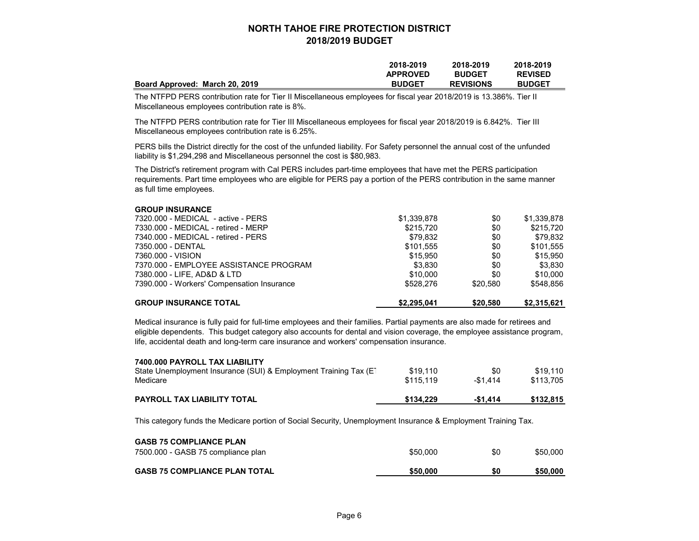|                                | 2018-2019       | 2018-2019        | 2018-2019      |
|--------------------------------|-----------------|------------------|----------------|
|                                | <b>APPROVED</b> | <b>BUDGET</b>    | <b>REVISED</b> |
| Board Approved: March 20, 2019 | <b>BUDGET</b>   | <b>REVISIONS</b> | <b>BUDGET</b>  |

The NTFPD PERS contribution rate for Tier II Miscellaneous employees for fiscal year 2018/2019 is 13.386%. Tier II Miscellaneous employees contribution rate is 8%.

The NTFPD PERS contribution rate for Tier III Miscellaneous employees for fiscal year 2018/2019 is 6.842%. Tier III Miscellaneous employees contribution rate is 6.25%.

PERS bills the District directly for the cost of the unfunded liability. For Safety personnel the annual cost of the unfunded liability is \$1,294,298 and Miscellaneous personnel the cost is \$80,983.

The District's retirement program with Cal PERS includes part-time employees that have met the PERS participation requirements. Part time employees who are eligible for PERS pay a portion of the PERS contribution in the same manner as full time employees.

| <b>GROUP INSURANCE TOTAL</b>               | \$2.295.041 | \$20,580 | \$2,315,621 |
|--------------------------------------------|-------------|----------|-------------|
| 7390.000 - Workers' Compensation Insurance | \$528,276   | \$20,580 | \$548.856   |
| 7380.000 - LIFE, AD&D & LTD                | \$10,000    | \$0      | \$10,000    |
| 7370.000 - EMPLOYEE ASSISTANCE PROGRAM     | \$3,830     | \$0      | \$3.830     |
| 7360.000 - VISION                          | \$15,950    | \$0      | \$15,950    |
| 7350.000 - DENTAL                          | \$101.555   | \$0      | \$101.555   |
| 7340.000 - MEDICAL - retired - PERS        | \$79,832    | \$0      | \$79,832    |
| 7330.000 - MEDICAL - retired - MERP        | \$215.720   | \$0      | \$215,720   |
| 7320.000 - MEDICAL - active - PERS         | \$1,339,878 | \$0      | \$1,339,878 |
| <b>GROUP INSURANCE</b>                     |             |          |             |

Medical insurance is fully paid for full-time employees and their families. Partial payments are also made for retirees and eligible dependents. This budget category also accounts for dental and vision coverage, the employee assistance program, life, accidental death and long-term care insurance and workers' compensation insurance.

| <b>PAYROLL TAX LIABILITY TOTAL</b>                                                                | \$134.229 | $-$1.414$ | \$132.815 |
|---------------------------------------------------------------------------------------------------|-----------|-----------|-----------|
| Medicare                                                                                          | \$115.119 | $-$1.414$ | \$113,705 |
| 7400.000 PAYROLL TAX LIABILITY<br>State Unemployment Insurance (SUI) & Employment Training Tax (E | \$19.110  | \$0       | \$19.110  |

This category funds the Medicare portion of Social Security, Unemployment Insurance & Employment Training Tax.

| <b>GASB 75 COMPLIANCE PLAN</b>       |          |     |          |
|--------------------------------------|----------|-----|----------|
| 7500.000 - GASB 75 compliance plan   | \$50,000 | \$0 | \$50.000 |
| <b>GASB 75 COMPLIANCE PLAN TOTAL</b> | \$50,000 | \$0 | \$50,000 |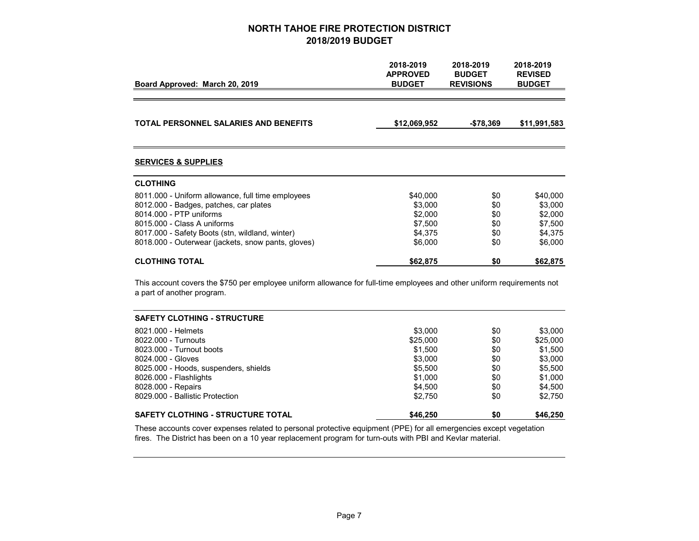| Board Approved: March 20, 2019                                                                                                                        | 2018-2019<br><b>APPROVED</b><br><b>BUDGET</b> | 2018-2019<br><b>BUDGET</b><br><b>REVISIONS</b> | 2018-2019<br><b>REVISED</b><br><b>BUDGET</b> |
|-------------------------------------------------------------------------------------------------------------------------------------------------------|-----------------------------------------------|------------------------------------------------|----------------------------------------------|
|                                                                                                                                                       |                                               |                                                |                                              |
| <b>TOTAL PERSONNEL SALARIES AND BENEFITS</b>                                                                                                          | \$12,069,952                                  | $-$78,369$                                     | \$11,991,583                                 |
| <b>SERVICES &amp; SUPPLIES</b>                                                                                                                        |                                               |                                                |                                              |
| <b>CLOTHING</b>                                                                                                                                       |                                               |                                                |                                              |
| 8011.000 - Uniform allowance, full time employees                                                                                                     | \$40,000                                      | \$0                                            | \$40,000                                     |
| 8012.000 - Badges, patches, car plates                                                                                                                | \$3.000                                       | \$0                                            | \$3,000                                      |
| 8014.000 - PTP uniforms                                                                                                                               | \$2.000                                       | \$0                                            | \$2,000                                      |
| 8015.000 - Class A uniforms                                                                                                                           | \$7,500                                       | \$0                                            | \$7,500                                      |
| 8017.000 - Safety Boots (stn, wildland, winter)                                                                                                       | \$4,375                                       | \$0                                            | \$4,375                                      |
| 8018.000 - Outerwear (jackets, snow pants, gloves)                                                                                                    | \$6,000                                       | \$0                                            | \$6,000                                      |
| <b>CLOTHING TOTAL</b>                                                                                                                                 | \$62,875                                      | \$0                                            | \$62,875                                     |
| This account covers the \$750 per employee uniform allowance for full-time employees and other uniform requirements not<br>a part of another program. |                                               |                                                |                                              |
| <b>SAFETY CLOTHING - STRUCTURE</b>                                                                                                                    |                                               |                                                |                                              |
| 8021.000 - Helmets                                                                                                                                    | \$3,000                                       | \$0                                            | \$3,000                                      |

| <b>SAFETY CLOTHING - STRUCTURE TOTAL</b> | \$46,250 | \$0 | \$46,250 |
|------------------------------------------|----------|-----|----------|
| 8029.000 - Ballistic Protection          | \$2.750  | \$0 | \$2.750  |
| 8028.000 - Repairs                       | \$4.500  | \$0 | \$4.500  |
| 8026.000 - Flashlights                   | \$1,000  | \$0 | \$1,000  |
| 8025.000 - Hoods, suspenders, shields    | \$5,500  | \$0 | \$5.500  |
| 8024.000 - Gloves                        | \$3,000  | \$0 | \$3,000  |
| 8023,000 - Turnout boots                 | \$1,500  | \$0 | \$1,500  |
| 8022.000 - Turnouts                      | \$25,000 | \$0 | \$25,000 |
| 8021.000 - Helmets                       | \$3.000  | \$0 | \$3.000  |

These accounts cover expenses related to personal protective equipment (PPE) for all emergencies except vegetation fires. The District has been on a 10 year replacement program for turn-outs with PBI and Kevlar material.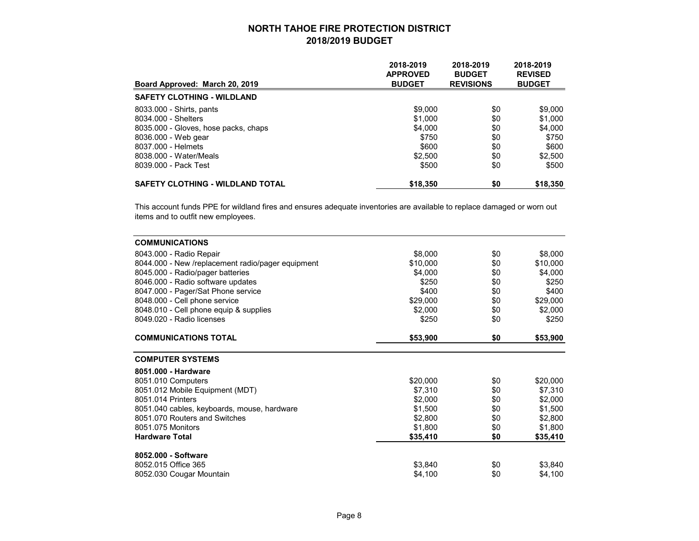| Board Approved: March 20, 2019          | 2018-2019<br><b>APPROVED</b><br><b>BUDGET</b> | 2018-2019<br><b>BUDGET</b><br><b>REVISIONS</b> | 2018-2019<br><b>REVISED</b><br><b>BUDGET</b> |
|-----------------------------------------|-----------------------------------------------|------------------------------------------------|----------------------------------------------|
| <b>SAFETY CLOTHING - WILDLAND</b>       |                                               |                                                |                                              |
| 8033.000 - Shirts, pants                | \$9,000                                       | \$0                                            | \$9,000                                      |
| 8034.000 - Shelters                     | \$1,000                                       | \$0                                            | \$1,000                                      |
| 8035.000 - Gloves, hose packs, chaps    | \$4,000                                       | \$0                                            | \$4,000                                      |
| 8036.000 - Web gear                     | \$750                                         | \$0                                            | \$750                                        |
| 8037.000 - Helmets                      | \$600                                         | \$0                                            | \$600                                        |
| 8038.000 - Water/Meals                  | \$2,500                                       | \$0                                            | \$2,500                                      |
| 8039.000 - Pack Test                    | \$500                                         | \$0                                            | \$500                                        |
| <b>SAFETY CLOTHING - WILDLAND TOTAL</b> | \$18,350                                      | \$0                                            | \$18,350                                     |

This account funds PPE for wildland fires and ensures adequate inventories are available to replace damaged or worn out items and to outfit new employees.

| <b>COMMUNICATIONS</b>                             |          |     |          |
|---------------------------------------------------|----------|-----|----------|
| 8043.000 - Radio Repair                           | \$8,000  | \$0 | \$8,000  |
| 8044.000 - New /replacement radio/pager equipment | \$10,000 | \$0 | \$10,000 |
| 8045.000 - Radio/pager batteries                  | \$4,000  | \$0 | \$4,000  |
| 8046.000 - Radio software updates                 | \$250    | \$0 | \$250    |
| 8047.000 - Pager/Sat Phone service                | \$400    | \$0 | \$400    |
| 8048.000 - Cell phone service                     | \$29,000 | \$0 | \$29,000 |
| 8048.010 - Cell phone equip & supplies            | \$2,000  | \$0 | \$2,000  |
| 8049.020 - Radio licenses                         | \$250    | \$0 | \$250    |
| <b>COMMUNICATIONS TOTAL</b>                       | \$53,900 | \$0 | \$53,900 |
| <b>COMPUTER SYSTEMS</b>                           |          |     |          |
| 8051.000 - Hardware                               |          |     |          |
| 8051.010 Computers                                | \$20,000 | \$0 | \$20,000 |
| 8051.012 Mobile Equipment (MDT)                   | \$7,310  | \$0 | \$7,310  |
| 8051.014 Printers                                 | \$2,000  | \$0 | \$2,000  |
| 8051.040 cables, keyboards, mouse, hardware       | \$1,500  | \$0 | \$1,500  |
| 8051.070 Routers and Switches                     | \$2,800  | \$0 | \$2,800  |
| 8051.075 Monitors                                 | \$1,800  | \$0 | \$1,800  |
| <b>Hardware Total</b>                             | \$35,410 | \$0 | \$35,410 |
| 8052.000 - Software                               |          |     |          |
| 8052.015 Office 365                               | \$3,840  | \$0 | \$3,840  |
| 8052.030 Cougar Mountain                          | \$4,100  | \$0 | \$4,100  |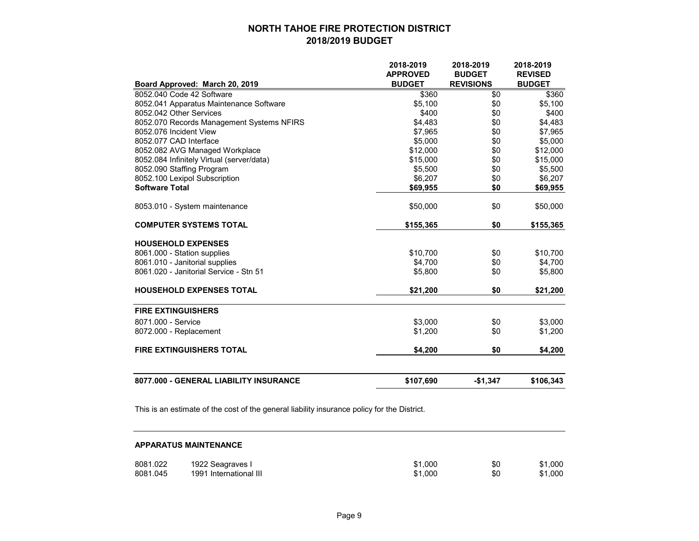|                                           | 2018-2019       | 2018-2019        | 2018-2019      |
|-------------------------------------------|-----------------|------------------|----------------|
|                                           | <b>APPROVED</b> | <b>BUDGET</b>    | <b>REVISED</b> |
| Board Approved: March 20, 2019            | <b>BUDGET</b>   | <b>REVISIONS</b> | <b>BUDGET</b>  |
| 8052.040 Code 42 Software                 | \$360           | \$0              | \$360          |
| 8052.041 Apparatus Maintenance Software   | \$5,100         | \$0              | \$5,100        |
| 8052.042 Other Services                   | \$400           | \$0              | \$400          |
| 8052.070 Records Management Systems NFIRS | \$4,483         | \$0              | \$4,483        |
| 8052.076 Incident View                    | \$7,965         | \$0              | \$7,965        |
| 8052.077 CAD Interface                    | \$5,000         | \$0              | \$5,000        |
| 8052.082 AVG Managed Workplace            | \$12,000        | \$0              | \$12,000       |
| 8052.084 Infinitely Virtual (server/data) | \$15,000        | \$0              | \$15,000       |
| 8052.090 Staffing Program                 | \$5,500         | \$0              | \$5,500        |
| 8052.100 Lexipol Subscription             | \$6,207         | \$0              | \$6,207        |
| <b>Software Total</b>                     | \$69,955        | \$0              | \$69,955       |
| 8053.010 - System maintenance             | \$50,000        | \$0              | \$50,000       |
| <b>COMPUTER SYSTEMS TOTAL</b>             | \$155,365       | \$0              | \$155,365      |
| <b>HOUSEHOLD EXPENSES</b>                 |                 |                  |                |
| 8061.000 - Station supplies               | \$10,700        | \$0              | \$10,700       |
| 8061.010 - Janitorial supplies            | \$4,700         | \$0              | \$4,700        |
| 8061.020 - Janitorial Service - Stn 51    | \$5,800         | \$0              | \$5,800        |
| <b>HOUSEHOLD EXPENSES TOTAL</b>           | \$21,200        | \$0              | \$21,200       |
| <b>FIRE EXTINGUISHERS</b>                 |                 |                  |                |
| 8071.000 - Service                        | \$3,000         | \$0              | \$3,000        |
| 8072.000 - Replacement                    | \$1,200         | \$0              | \$1,200        |
| <b>FIRE EXTINGUISHERS TOTAL</b>           | \$4,200         | \$0              | \$4,200        |
|                                           |                 |                  |                |
| 8077.000 - GENERAL LIABILITY INSURANCE    | \$107,690       | $-$1,347$        | \$106,343      |

This is an estimate of the cost of the general liability insurance policy for the District.

#### **APPARATUS MAINTENANCE**

| 8081.022 | 1922 Seagraves I       | \$1,000 | \$0 | \$1,000 |
|----------|------------------------|---------|-----|---------|
| 8081.045 | 1991 International III | \$1.000 | \$0 | \$1,000 |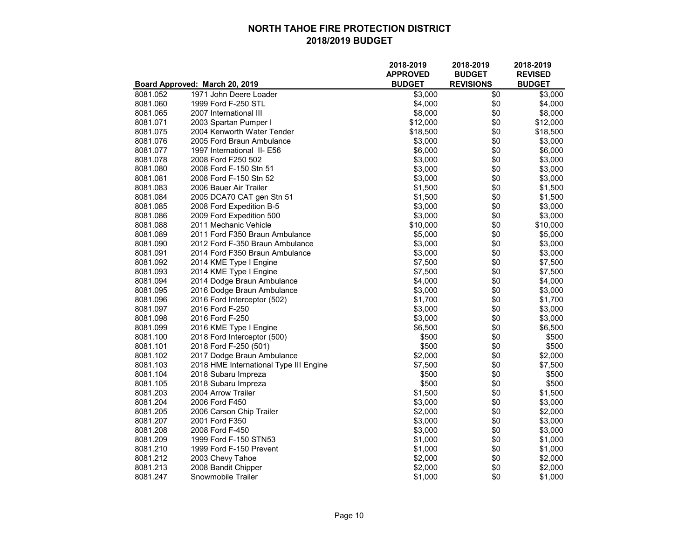|          |                                        | 2018-2019<br><b>APPROVED</b> | 2018-2019<br><b>BUDGET</b> | 2018-2019<br><b>REVISED</b> |
|----------|----------------------------------------|------------------------------|----------------------------|-----------------------------|
|          | Board Approved: March 20, 2019         | <b>BUDGET</b>                | <b>REVISIONS</b>           | <b>BUDGET</b>               |
| 8081.052 | 1971 John Deere Loader                 | \$3,000                      | \$0                        | \$3,000                     |
| 8081.060 | 1999 Ford F-250 STL                    | \$4,000                      | \$0                        | \$4,000                     |
| 8081.065 | 2007 International III                 | \$8,000                      | \$0                        | \$8,000                     |
| 8081.071 | 2003 Spartan Pumper I                  | \$12,000                     | \$0                        | \$12,000                    |
| 8081.075 | 2004 Kenworth Water Tender             | \$18,500                     | \$0                        | \$18,500                    |
| 8081.076 | 2005 Ford Braun Ambulance              | \$3,000                      | \$0                        | \$3,000                     |
| 8081.077 | 1997 International II- E56             | \$6,000                      | \$0                        | \$6,000                     |
| 8081.078 | 2008 Ford F250 502                     | \$3,000                      | \$0                        | \$3,000                     |
| 8081.080 | 2008 Ford F-150 Stn 51                 | \$3,000                      | \$0                        | \$3,000                     |
| 8081.081 | 2008 Ford F-150 Stn 52                 | \$3,000                      | \$0                        | \$3,000                     |
| 8081.083 | 2006 Bauer Air Trailer                 | \$1,500                      | \$0                        | \$1,500                     |
| 8081.084 | 2005 DCA70 CAT gen Stn 51              | \$1,500                      | \$0                        | \$1,500                     |
| 8081.085 | 2008 Ford Expedition B-5               | \$3,000                      | \$0                        | \$3,000                     |
| 8081.086 | 2009 Ford Expedition 500               | \$3,000                      | \$0                        | \$3,000                     |
| 8081.088 | 2011 Mechanic Vehicle                  | \$10,000                     | \$0                        | \$10,000                    |
| 8081.089 | 2011 Ford F350 Braun Ambulance         | \$5,000                      | \$0                        | \$5,000                     |
| 8081.090 | 2012 Ford F-350 Braun Ambulance        | \$3,000                      | \$0                        | \$3,000                     |
| 8081.091 | 2014 Ford F350 Braun Ambulance         | \$3,000                      | \$0                        | \$3,000                     |
| 8081.092 | 2014 KME Type I Engine                 | \$7,500                      | \$0                        | \$7,500                     |
| 8081.093 | 2014 KME Type I Engine                 | \$7,500                      | \$0                        | \$7,500                     |
| 8081.094 | 2014 Dodge Braun Ambulance             | \$4,000                      | \$0                        | \$4,000                     |
| 8081.095 | 2016 Dodge Braun Ambulance             | \$3,000                      | \$0                        | \$3,000                     |
| 8081.096 | 2016 Ford Interceptor (502)            | \$1,700                      | \$0                        | \$1,700                     |
| 8081.097 | 2016 Ford F-250                        | \$3,000                      | \$0                        | \$3,000                     |
| 8081.098 | 2016 Ford F-250                        | \$3,000                      | \$0                        | \$3,000                     |
| 8081.099 | 2016 KME Type I Engine                 | \$6,500                      | \$0                        | \$6,500                     |
| 8081.100 | 2018 Ford Interceptor (500)            | \$500                        | \$0                        | \$500                       |
| 8081.101 | 2018 Ford F-250 (501)                  | \$500                        | \$0                        | \$500                       |
| 8081.102 | 2017 Dodge Braun Ambulance             | \$2,000                      | \$0                        | \$2,000                     |
| 8081.103 | 2018 HME International Type III Engine | \$7,500                      | \$0                        | \$7,500                     |
| 8081.104 | 2018 Subaru Impreza                    | \$500                        | \$0                        | \$500                       |
| 8081.105 | 2018 Subaru Impreza                    | \$500                        | \$0                        | \$500                       |
| 8081.203 | 2004 Arrow Trailer                     | \$1,500                      | \$0                        | \$1,500                     |
| 8081.204 | 2006 Ford F450                         | \$3,000                      | \$0                        | \$3,000                     |
| 8081.205 | 2006 Carson Chip Trailer               | \$2,000                      | \$0                        | \$2,000                     |
| 8081.207 | 2001 Ford F350                         | \$3,000                      | \$0                        | \$3,000                     |
| 8081.208 | 2008 Ford F-450                        | \$3,000                      | \$0                        | \$3,000                     |
| 8081.209 | 1999 Ford F-150 STN53                  | \$1,000                      | \$0                        | \$1,000                     |
| 8081.210 | 1999 Ford F-150 Prevent                | \$1,000                      | \$0                        | \$1,000                     |
| 8081.212 | 2003 Chevy Tahoe                       | \$2,000                      | \$0                        | \$2,000                     |
| 8081.213 | 2008 Bandit Chipper                    | \$2,000                      | \$0                        | \$2,000                     |
| 8081.247 | Snowmobile Trailer                     | \$1,000                      | \$0                        | \$1,000                     |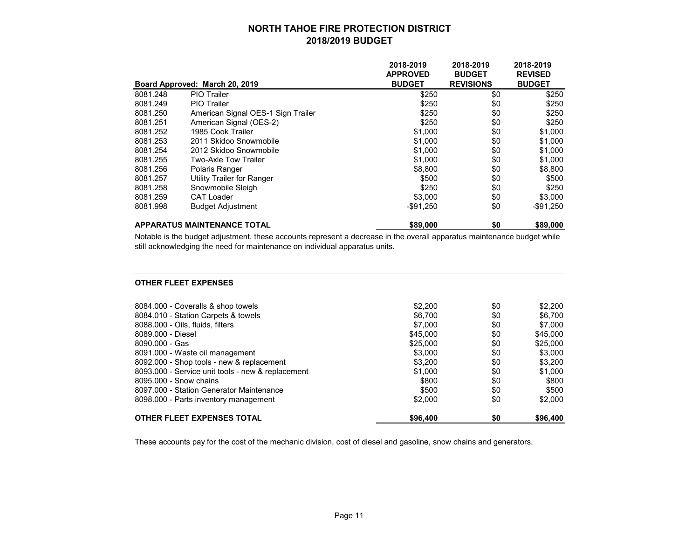|          |                                    | 2018-2019       | 2018-2019        | 2018-2019      |
|----------|------------------------------------|-----------------|------------------|----------------|
|          |                                    | <b>APPROVED</b> | <b>BUDGET</b>    | <b>REVISED</b> |
|          | Board Approved: March 20, 2019     | <b>BUDGET</b>   | <b>REVISIONS</b> | <b>BUDGET</b>  |
| 8081.248 | PIO Trailer                        | \$250           | \$0              | \$250          |
| 8081.249 | <b>PIO Trailer</b>                 | \$250           | \$0              | \$250          |
| 8081.250 | American Signal OES-1 Sign Trailer | \$250           | \$0              | \$250          |
| 8081.251 | American Signal (OES-2)            | \$250           | \$0              | \$250          |
| 8081.252 | 1985 Cook Trailer                  | \$1,000         | \$0              | \$1,000        |
| 8081.253 | 2011 Skidoo Snowmobile             | \$1,000         | \$0              | \$1,000        |
| 8081.254 | 2012 Skidoo Snowmobile             | \$1,000         | \$0              | \$1,000        |
| 8081.255 | Two-Axle Tow Trailer               | \$1,000         | \$0              | \$1,000        |
| 8081.256 | Polaris Ranger                     | \$8,800         | \$0              | \$8,800        |
| 8081.257 | Utility Trailer for Ranger         | \$500           | \$0              | \$500          |
| 8081.258 | Snowmobile Sleigh                  | \$250           | \$0              | \$250          |
| 8081.259 | <b>CAT Loader</b>                  | \$3,000         | \$0              | \$3,000        |
| 8081.998 | <b>Budget Adjustment</b>           | $-$ \$91,250    | \$0              | $-$ \$91,250   |
|          | <b>APPARATUS MAINTENANCE TOTAL</b> | \$89,000        | \$0              | \$89,000       |

Notable is the budget adjustment, these accounts represent a decrease in the overall apparatus maintenance budget while still acknowledging the need for maintenance on individual apparatus units.

#### **OTHER FLEET EXPENSES**

| OTHER FLEET EXPENSES TOTAL                        | \$96,400 | \$0 | \$96,400 |
|---------------------------------------------------|----------|-----|----------|
| 8098.000 - Parts inventory management             | \$2,000  | \$0 | \$2,000  |
| 8097.000 - Station Generator Maintenance          | \$500    | \$0 | \$500    |
| 8095,000 - Snow chains                            | \$800    | \$0 | \$800    |
| 8093.000 - Service unit tools - new & replacement | \$1.000  | \$0 | \$1.000  |
| 8092.000 - Shop tools - new & replacement         | \$3,200  | \$0 | \$3.200  |
| 8091.000 - Waste oil management                   | \$3,000  | \$0 | \$3,000  |
| 8090.000 - Gas                                    | \$25,000 | \$0 | \$25,000 |
| 8089.000 - Diesel                                 | \$45,000 | \$0 | \$45,000 |
| 8088.000 - Oils, fluids, filters                  | \$7,000  | \$0 | \$7,000  |
| 8084.010 - Station Carpets & towels               | \$6,700  | \$0 | \$6,700  |
| 8084.000 - Coveralls & shop towels                | \$2,200  | \$0 | \$2,200  |
|                                                   |          |     |          |

These accounts pay for the cost of the mechanic division, cost of diesel and gasoline, snow chains and generators.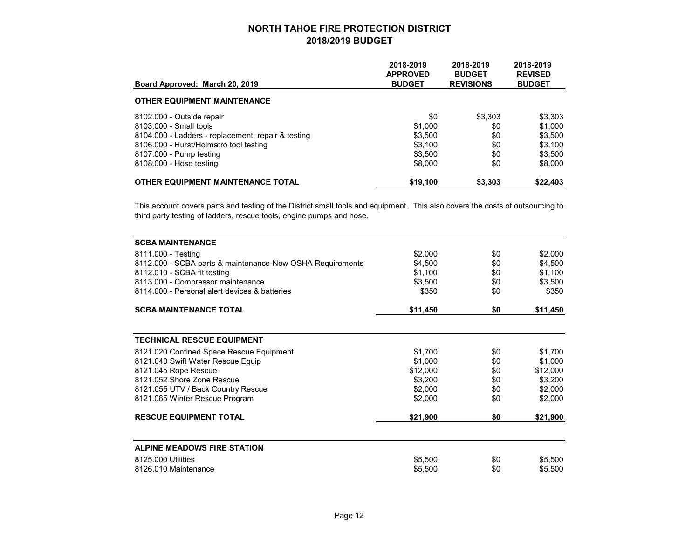| Board Approved: March 20, 2019                     | 2018-2019<br><b>APPROVED</b><br><b>BUDGET</b> | 2018-2019<br><b>BUDGET</b><br><b>REVISIONS</b> | 2018-2019<br><b>REVISED</b><br><b>BUDGET</b> |
|----------------------------------------------------|-----------------------------------------------|------------------------------------------------|----------------------------------------------|
| <b>OTHER EQUIPMENT MAINTENANCE</b>                 |                                               |                                                |                                              |
| 8102.000 - Outside repair                          | \$0                                           | \$3,303                                        | \$3,303                                      |
| 8103.000 - Small tools                             | \$1,000                                       | \$0                                            | \$1,000                                      |
| 8104.000 - Ladders - replacement, repair & testing | \$3,500                                       | \$0                                            | \$3,500                                      |
| 8106.000 - Hurst/Holmatro tool testing             | \$3,100                                       | \$0                                            | \$3,100                                      |
| 8107.000 - Pump testing                            | \$3.500                                       | \$0                                            | \$3,500                                      |
| 8108.000 - Hose testing                            | \$8,000                                       | \$0                                            | \$8,000                                      |
| <b>OTHER EQUIPMENT MAINTENANCE TOTAL</b>           | \$19,100                                      | \$3,303                                        | \$22,403                                     |

This account covers parts and testing of the District small tools and equipment. This also covers the costs of outsourcing to third party testing of ladders, rescue tools, engine pumps and hose.

| <b>SCBA MAINTENANCE</b>                                   |          |     |          |
|-----------------------------------------------------------|----------|-----|----------|
| 8111.000 - Testing                                        | \$2,000  | \$0 | \$2,000  |
| 8112.000 - SCBA parts & maintenance-New OSHA Requirements | \$4,500  | \$0 | \$4,500  |
| 8112.010 - SCBA fit testing                               | \$1,100  | \$0 | \$1,100  |
| 8113.000 - Compressor maintenance                         | \$3,500  | \$0 | \$3,500  |
| 8114,000 - Personal alert devices & batteries             | \$350    | \$0 | \$350    |
| <b>SCBA MAINTENANCE TOTAL</b>                             | \$11,450 | \$0 | \$11,450 |
|                                                           |          |     |          |
| <b>TECHNICAL RESCUE EQUIPMENT</b>                         |          |     |          |
| 8121.020 Confined Space Rescue Equipment                  | \$1,700  | \$0 | \$1,700  |
| 8121.040 Swift Water Rescue Equip                         | \$1,000  | \$0 | \$1,000  |
| 8121.045 Rope Rescue                                      | \$12,000 | \$0 | \$12,000 |
| 8121.052 Shore Zone Rescue                                | \$3,200  | \$0 | \$3,200  |
| 8121.055 UTV / Back Country Rescue                        | \$2,000  | \$0 | \$2,000  |
| 8121.065 Winter Rescue Program                            | \$2,000  | \$0 | \$2,000  |
| <b>RESCUE EQUIPMENT TOTAL</b>                             | \$21,900 | \$0 | \$21,900 |
|                                                           |          |     |          |
| <b>ALPINE MEADOWS FIRE STATION</b>                        |          |     |          |
| 8125,000 Utilities                                        | \$5,500  | \$0 | \$5,500  |
| 8126.010 Maintenance                                      | \$5,500  | \$0 | \$5,500  |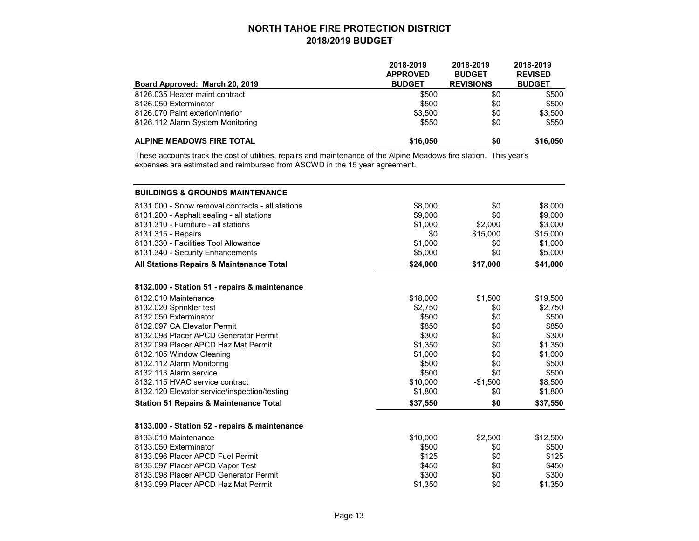| Board Approved: March 20, 2019   | 2018-2019<br><b>APPROVED</b><br><b>BUDGET</b> | 2018-2019<br><b>BUDGET</b><br><b>REVISIONS</b> | 2018-2019<br><b>REVISED</b><br><b>BUDGET</b> |
|----------------------------------|-----------------------------------------------|------------------------------------------------|----------------------------------------------|
| 8126.035 Heater maint contract   | \$500                                         | \$0                                            | \$500                                        |
| 8126.050 Exterminator            | \$500                                         | \$0                                            | \$500                                        |
| 8126.070 Paint exterior/interior | \$3.500                                       | \$0                                            | \$3,500                                      |
| 8126.112 Alarm System Monitoring | \$550                                         | \$0                                            | \$550                                        |
| ALPINE MEADOWS FIRE TOTAL        | \$16,050                                      | \$0                                            | \$16,050                                     |

These accounts track the cost of utilities, repairs and maintenance of the Alpine Meadows fire station. This year's expenses are estimated and reimbursed from ASCWD in the 15 year agreement.

| <b>BUILDINGS &amp; GROUNDS MAINTENANCE</b>        |          |           |          |
|---------------------------------------------------|----------|-----------|----------|
| 8131.000 - Snow removal contracts - all stations  | \$8,000  | \$0       | \$8,000  |
| 8131.200 - Asphalt sealing - all stations         | \$9,000  | \$0       | \$9,000  |
| 8131.310 - Furniture - all stations               | \$1,000  | \$2,000   | \$3,000  |
| 8131.315 - Repairs                                | \$0      | \$15,000  | \$15,000 |
| 8131.330 - Facilities Tool Allowance              | \$1,000  | \$0       | \$1,000  |
| 8131.340 - Security Enhancements                  | \$5,000  | \$0       | \$5,000  |
| All Stations Repairs & Maintenance Total          | \$24,000 | \$17,000  | \$41,000 |
| 8132.000 - Station 51 - repairs & maintenance     |          |           |          |
| 8132.010 Maintenance                              | \$18,000 | \$1,500   | \$19,500 |
| 8132.020 Sprinkler test                           | \$2,750  | \$0       | \$2,750  |
| 8132.050 Exterminator                             | \$500    | \$0       | \$500    |
| 8132.097 CA Elevator Permit                       | \$850    | \$0       | \$850    |
| 8132.098 Placer APCD Generator Permit             | \$300    | \$0       | \$300    |
| 8132.099 Placer APCD Haz Mat Permit               | \$1,350  | \$0       | \$1,350  |
| 8132.105 Window Cleaning                          | \$1,000  | \$0       | \$1,000  |
| 8132.112 Alarm Monitoring                         | \$500    | \$0       | \$500    |
| 8132.113 Alarm service                            | \$500    | \$0       | \$500    |
| 8132.115 HVAC service contract                    | \$10,000 | $-$1,500$ | \$8,500  |
| 8132.120 Elevator service/inspection/testing      | \$1,800  | \$0       | \$1,800  |
| <b>Station 51 Repairs &amp; Maintenance Total</b> | \$37,550 | \$0       | \$37,550 |
| 8133.000 - Station 52 - repairs & maintenance     |          |           |          |
| 8133.010 Maintenance                              | \$10,000 | \$2,500   | \$12,500 |
| 8133.050 Exterminator                             | \$500    | \$0       | \$500    |
| 8133.096 Placer APCD Fuel Permit                  | \$125    | \$0       | \$125    |
| 8133.097 Placer APCD Vapor Test                   | \$450    | \$0       | \$450    |
| 8133.098 Placer APCD Generator Permit             | \$300    | \$0       | \$300    |
| 8133.099 Placer APCD Haz Mat Permit               | \$1,350  | \$0       | \$1,350  |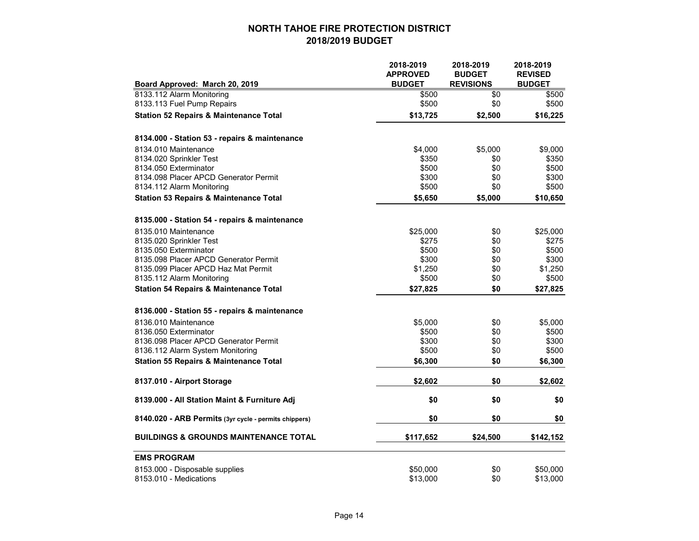|                                                       | 2018-2019<br><b>APPROVED</b> | 2018-2019<br><b>BUDGET</b> | 2018-2019<br><b>REVISED</b> |
|-------------------------------------------------------|------------------------------|----------------------------|-----------------------------|
| Board Approved: March 20, 2019                        | <b>BUDGET</b>                | <b>REVISIONS</b>           | <b>BUDGET</b>               |
| 8133.112 Alarm Monitoring                             | \$500                        | \$0                        | \$500                       |
| 8133.113 Fuel Pump Repairs                            | \$500                        | \$0                        | \$500                       |
| <b>Station 52 Repairs &amp; Maintenance Total</b>     | \$13,725                     | \$2,500                    | \$16,225                    |
| 8134.000 - Station 53 - repairs & maintenance         |                              |                            |                             |
| 8134.010 Maintenance                                  | \$4,000                      | \$5,000                    | \$9,000                     |
| 8134.020 Sprinkler Test                               | \$350                        | \$0                        | \$350                       |
| 8134.050 Exterminator                                 | \$500                        | \$0                        | \$500                       |
| 8134.098 Placer APCD Generator Permit                 | \$300                        | \$0                        | \$300                       |
| 8134.112 Alarm Monitoring                             | \$500                        | \$0                        | \$500                       |
| <b>Station 53 Repairs &amp; Maintenance Total</b>     | \$5,650                      | \$5,000                    | \$10,650                    |
| 8135.000 - Station 54 - repairs & maintenance         |                              |                            |                             |
| 8135.010 Maintenance                                  | \$25,000                     | \$0                        | \$25,000                    |
| 8135.020 Sprinkler Test                               | \$275                        | \$0                        | \$275                       |
| 8135.050 Exterminator                                 | \$500                        | \$0                        | \$500                       |
| 8135.098 Placer APCD Generator Permit                 | \$300                        | \$0                        | \$300                       |
| 8135.099 Placer APCD Haz Mat Permit                   | \$1,250                      | \$0                        | \$1,250                     |
| 8135.112 Alarm Monitoring                             | \$500                        | \$0                        | \$500                       |
| <b>Station 54 Repairs &amp; Maintenance Total</b>     | \$27,825                     | \$0                        | \$27,825                    |
| 8136.000 - Station 55 - repairs & maintenance         |                              |                            |                             |
| 8136.010 Maintenance                                  | \$5,000                      | \$0                        | \$5,000                     |
| 8136.050 Exterminator                                 | \$500                        | \$0                        | \$500                       |
| 8136.098 Placer APCD Generator Permit                 | \$300                        | \$0                        | \$300                       |
| 8136.112 Alarm System Monitoring                      | \$500                        | \$0                        | \$500                       |
| <b>Station 55 Repairs &amp; Maintenance Total</b>     | \$6,300                      | \$0                        | \$6,300                     |
| 8137.010 - Airport Storage                            | \$2,602                      | \$0                        | \$2,602                     |
| 8139.000 - All Station Maint & Furniture Adj          | \$0                          | \$0                        | \$0                         |
| 8140.020 - ARB Permits (3yr cycle - permits chippers) | \$0                          | \$0                        | \$0                         |
| <b>BUILDINGS &amp; GROUNDS MAINTENANCE TOTAL</b>      | \$117,652                    | \$24,500                   | \$142,152                   |
| <b>EMS PROGRAM</b>                                    |                              |                            |                             |
| 8153.000 - Disposable supplies                        | \$50,000                     | \$0                        | \$50,000                    |
| 8153.010 - Medications                                | \$13,000                     | \$0                        | \$13,000                    |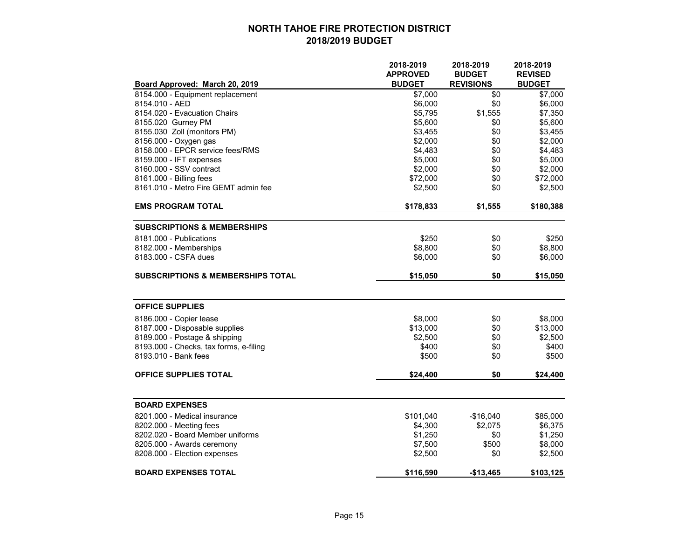|                                              | 2018-2019       | 2018-2019        | 2018-2019      |
|----------------------------------------------|-----------------|------------------|----------------|
|                                              | <b>APPROVED</b> | <b>BUDGET</b>    | <b>REVISED</b> |
| Board Approved: March 20, 2019               | <b>BUDGET</b>   | <b>REVISIONS</b> | <b>BUDGET</b>  |
| 8154.000 - Equipment replacement             | \$7,000         | \$0              | \$7,000        |
| 8154.010 - AED                               | \$6,000         | \$0              | \$6,000        |
| 8154.020 - Evacuation Chairs                 | \$5,795         | \$1,555          | \$7,350        |
| 8155.020 Gurney PM                           | \$5,600         | \$0              | \$5,600        |
| 8155.030 Zoll (monitors PM)                  | \$3,455         | \$0              | \$3,455        |
| 8156.000 - Oxygen gas                        | \$2,000         | \$0              | \$2,000        |
| 8158.000 - EPCR service fees/RMS             | \$4,483         | \$0              | \$4,483        |
| 8159.000 - IFT expenses                      | \$5,000         | \$0              | \$5,000        |
| 8160.000 - SSV contract                      | \$2,000         | \$0              | \$2,000        |
| 8161.000 - Billing fees                      | \$72,000        | \$0              | \$72,000       |
| 8161.010 - Metro Fire GEMT admin fee         | \$2,500         | \$0              | \$2,500        |
| <b>EMS PROGRAM TOTAL</b>                     | \$178,833       | \$1,555          | \$180,388      |
|                                              |                 |                  |                |
| <b>SUBSCRIPTIONS &amp; MEMBERSHIPS</b>       |                 |                  |                |
| 8181.000 - Publications                      | \$250           | \$0              | \$250          |
| 8182.000 - Memberships                       | \$8,800         | \$0              | \$8,800        |
| 8183.000 - CSFA dues                         | \$6,000         | \$0              | \$6,000        |
| <b>SUBSCRIPTIONS &amp; MEMBERSHIPS TOTAL</b> | \$15,050        | \$0              | \$15,050       |
| <b>OFFICE SUPPLIES</b>                       |                 |                  |                |
| 8186.000 - Copier lease                      | \$8,000         | \$0              | \$8,000        |
| 8187.000 - Disposable supplies               | \$13,000        | \$0              | \$13,000       |
| 8189.000 - Postage & shipping                | \$2,500         | \$0              | \$2,500        |
| 8193.000 - Checks, tax forms, e-filing       | \$400           | \$0              | \$400          |
| 8193.010 - Bank fees                         | \$500           | \$0              | \$500          |
| OFFICE SUPPLIES TOTAL                        | \$24,400        | \$0              | \$24,400       |
|                                              |                 |                  |                |
| <b>BOARD EXPENSES</b>                        |                 |                  |                |
| 8201.000 - Medical insurance                 | \$101,040       | $-$16,040$       | \$85,000       |
| 8202.000 - Meeting fees                      | \$4,300         | \$2,075          | \$6,375        |
| 8202.020 - Board Member uniforms             | \$1,250         | \$0              | \$1,250        |
| 8205.000 - Awards ceremony                   | \$7,500         | \$500            | \$8,000        |
| 8208.000 - Election expenses                 | \$2,500         | \$0              | \$2,500        |
| <b>BOARD EXPENSES TOTAL</b>                  | \$116,590       | $-$13,465$       | \$103,125      |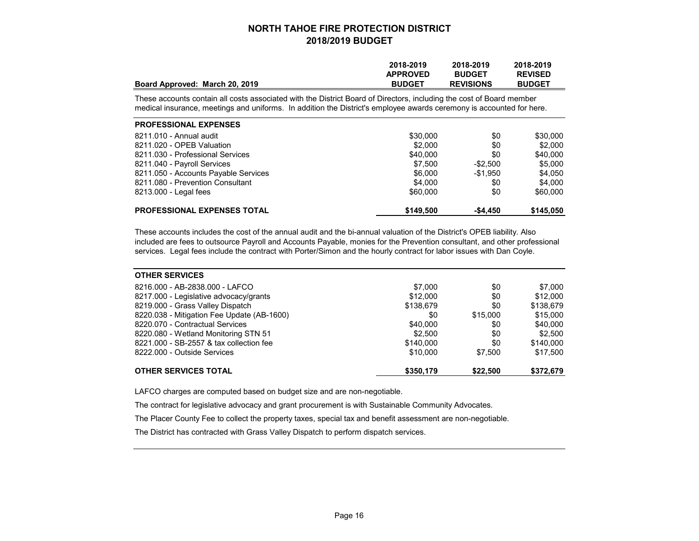| Board Approved: March 20, 2019                                                                                                                                                                                                               | 2018-2019<br><b>APPROVED</b><br><b>BUDGET</b> | 2018-2019<br><b>BUDGET</b><br><b>REVISIONS</b> | 2018-2019<br><b>REVISED</b><br><b>BUDGET</b> |
|----------------------------------------------------------------------------------------------------------------------------------------------------------------------------------------------------------------------------------------------|-----------------------------------------------|------------------------------------------------|----------------------------------------------|
| These accounts contain all costs associated with the District Board of Directors, including the cost of Board member<br>medical insurance, meetings and uniforms. In addition the District's employee awards ceremony is accounted for here. |                                               |                                                |                                              |
| <b>PROFESSIONAL EXPENSES</b>                                                                                                                                                                                                                 |                                               |                                                |                                              |
| 8211.010 - Annual audit                                                                                                                                                                                                                      | \$30,000                                      | \$0                                            | \$30,000                                     |
| 8211.020 - OPEB Valuation                                                                                                                                                                                                                    | \$2,000                                       | \$0                                            | \$2,000                                      |
| 8211.030 - Professional Services                                                                                                                                                                                                             | \$40,000                                      | \$0                                            | \$40,000                                     |
| 8211.040 - Payroll Services                                                                                                                                                                                                                  | \$7.500                                       | $-$ \$2,500                                    | \$5,000                                      |
| 8211.050 - Accounts Payable Services                                                                                                                                                                                                         | \$6,000                                       | -\$1.950                                       | \$4,050                                      |
| 8211.080 - Prevention Consultant                                                                                                                                                                                                             | \$4.000                                       | \$0                                            | \$4.000                                      |
| 8213.000 - Legal fees                                                                                                                                                                                                                        | \$60,000                                      | \$0                                            | \$60,000                                     |
| <b>PROFESSIONAL EXPENSES TOTAL</b>                                                                                                                                                                                                           | \$149,500                                     | $-$4,450$                                      | \$145,050                                    |

These accounts includes the cost of the annual audit and the bi-annual valuation of the District's OPEB liability. Also included are fees to outsource Payroll and Accounts Payable, monies for the Prevention consultant, and other professional services. Legal fees include the contract with Porter/Simon and the hourly contract for labor issues with Dan Coyle.

| <b>OTHER SERVICES</b>                      |           |          |           |
|--------------------------------------------|-----------|----------|-----------|
| 8216.000 - AB-2838.000 - LAFCO             | \$7.000   | \$0      | \$7,000   |
| 8217.000 - Legislative advocacy/grants     | \$12,000  | \$0      | \$12,000  |
| 8219.000 - Grass Valley Dispatch           | \$138,679 | \$0      | \$138,679 |
| 8220.038 - Mitigation Fee Update (AB-1600) | \$0       | \$15,000 | \$15,000  |
| 8220.070 - Contractual Services            | \$40,000  | \$0      | \$40,000  |
| 8220.080 - Wetland Monitoring STN 51       | \$2.500   | \$0      | \$2,500   |
| 8221,000 - SB-2557 & tax collection fee    | \$140,000 | \$0      | \$140,000 |
| 8222.000 - Outside Services                | \$10,000  | \$7.500  | \$17,500  |
| <b>OTHER SERVICES TOTAL</b>                | \$350,179 | \$22,500 | \$372,679 |

LAFCO charges are computed based on budget size and are non-negotiable.

The contract for legislative advocacy and grant procurement is with Sustainable Community Advocates.

The Placer County Fee to collect the property taxes, special tax and benefit assessment are non-negotiable.

The District has contracted with Grass Valley Dispatch to perform dispatch services.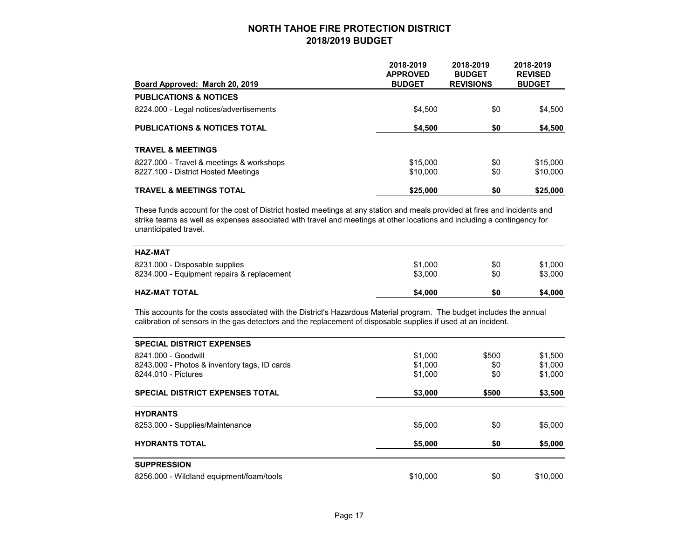| Board Approved: March 20, 2019           | 2018-2019<br><b>APPROVED</b><br><b>BUDGET</b> | 2018-2019<br><b>BUDGET</b><br><b>REVISIONS</b> | 2018-2019<br><b>REVISED</b><br><b>BUDGET</b> |
|------------------------------------------|-----------------------------------------------|------------------------------------------------|----------------------------------------------|
| <b>PUBLICATIONS &amp; NOTICES</b>        |                                               |                                                |                                              |
| 8224.000 - Legal notices/advertisements  | \$4,500                                       | \$0                                            | \$4,500                                      |
| <b>PUBLICATIONS &amp; NOTICES TOTAL</b>  | \$4,500                                       | \$0                                            | \$4,500                                      |
| <b>TRAVEL &amp; MEETINGS</b>             |                                               |                                                |                                              |
| 8227.000 - Travel & meetings & workshops | \$15,000                                      | \$0                                            | \$15,000                                     |
| 8227.100 - District Hosted Meetings      | \$10,000                                      | \$0                                            | \$10,000                                     |
| <b>TRAVEL &amp; MEETINGS TOTAL</b>       | \$25,000                                      | \$0                                            | \$25,000                                     |

These funds account for the cost of District hosted meetings at any station and meals provided at fires and incidents and strike teams as well as expenses associated with travel and meetings at other locations and including a contingency for unanticipated travel.

| <b>HAZ-MAT</b>                             |         |     |         |
|--------------------------------------------|---------|-----|---------|
| 8231.000 - Disposable supplies             | \$1,000 | \$0 | \$1,000 |
| 8234.000 - Equipment repairs & replacement | \$3,000 | \$0 | \$3,000 |
| <b>HAZ-MAT TOTAL</b>                       | \$4,000 | \$0 | \$4,000 |

This accounts for the costs associated with the District's Hazardous Material program. The budget includes the annual calibration of sensors in the gas detectors and the replacement of disposable supplies if used at an incident.

| <b>SPECIAL DISTRICT EXPENSES</b>             |          |       |          |
|----------------------------------------------|----------|-------|----------|
| 8241.000 - Goodwill                          | \$1,000  | \$500 | \$1,500  |
| 8243.000 - Photos & inventory tags, ID cards | \$1,000  | \$0   | \$1,000  |
| 8244.010 - Pictures                          | \$1,000  | \$0   | \$1,000  |
| <b>SPECIAL DISTRICT EXPENSES TOTAL</b>       | \$3,000  | \$500 | \$3,500  |
| <b>HYDRANTS</b>                              |          |       |          |
| 8253.000 - Supplies/Maintenance              | \$5,000  | \$0   | \$5,000  |
| <b>HYDRANTS TOTAL</b>                        | \$5,000  | \$0   | \$5,000  |
| <b>SUPPRESSION</b>                           |          |       |          |
| 8256.000 - Wildland equipment/foam/tools     | \$10,000 | \$0   | \$10,000 |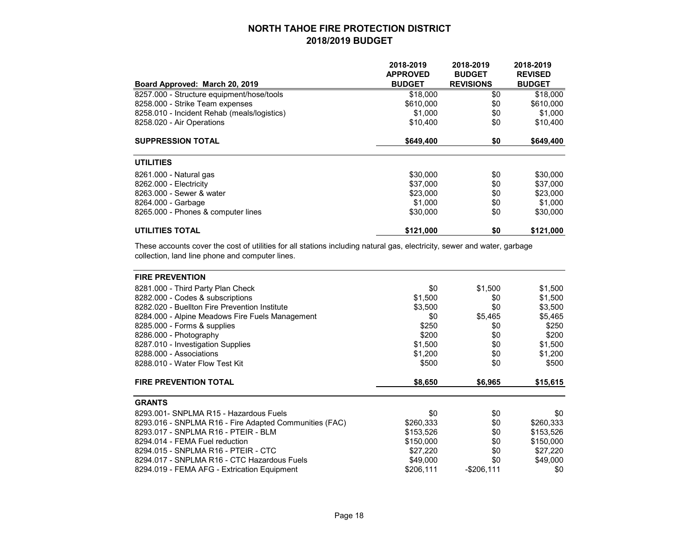|                                             | 2018-2019<br><b>APPROVED</b> | 2018-2019<br><b>BUDGET</b> | 2018-2019<br><b>REVISED</b> |
|---------------------------------------------|------------------------------|----------------------------|-----------------------------|
| Board Approved: March 20, 2019              | <b>BUDGET</b>                | <b>REVISIONS</b>           | <b>BUDGET</b>               |
| 8257.000 - Structure equipment/hose/tools   | \$18,000                     | \$0                        | \$18,000                    |
| 8258.000 - Strike Team expenses             | \$610,000                    | \$0                        | \$610,000                   |
| 8258.010 - Incident Rehab (meals/logistics) | \$1,000                      | \$0                        | \$1,000                     |
| 8258.020 - Air Operations                   | \$10,400                     | \$0                        | \$10,400                    |
| <b>SUPPRESSION TOTAL</b>                    | \$649,400                    | \$0                        | \$649,400                   |
| <b>UTILITIES</b>                            |                              |                            |                             |
| 8261.000 - Natural gas                      | \$30,000                     | \$0                        | \$30,000                    |
| 8262.000 - Electricity                      | \$37,000                     | \$0                        | \$37,000                    |
| 8263.000 - Sewer & water                    | \$23,000                     | \$0                        | \$23,000                    |
| 8264.000 - Garbage                          | \$1,000                      | \$0                        | \$1,000                     |
| 8265.000 - Phones & computer lines          | \$30,000                     | \$0                        | \$30,000                    |
| <b>UTILITIES TOTAL</b>                      | \$121,000                    | \$0                        | \$121,000                   |

These accounts cover the cost of utilities for all stations including natural gas, electricity, sewer and water, garbage collection, land line phone and computer lines.

| <b>FIRE PREVENTION</b>                                 |           |               |           |
|--------------------------------------------------------|-----------|---------------|-----------|
| 8281.000 - Third Party Plan Check                      | \$0       | \$1,500       | \$1,500   |
| 8282.000 - Codes & subscriptions                       | \$1,500   | \$0           | \$1,500   |
| 8282.020 - Buellton Fire Prevention Institute          | \$3,500   | \$0           | \$3,500   |
| 8284.000 - Alpine Meadows Fire Fuels Management        | \$0       | \$5,465       | \$5,465   |
| 8285.000 - Forms & supplies                            | \$250     | \$0           | \$250     |
| 8286.000 - Photography                                 | \$200     | \$0           | \$200     |
| 8287.010 - Investigation Supplies                      | \$1,500   | \$0           | \$1,500   |
| 8288.000 - Associations                                | \$1,200   | \$0           | \$1,200   |
| 8288.010 - Water Flow Test Kit                         | \$500     | \$0           | \$500     |
| <b>FIRE PREVENTION TOTAL</b>                           | \$8,650   | \$6,965       | \$15,615  |
| <b>GRANTS</b>                                          |           |               |           |
| 8293.001- SNPLMA R15 - Hazardous Fuels                 | \$0       | \$0           | \$0       |
| 8293.016 - SNPLMA R16 - Fire Adapted Communities (FAC) | \$260,333 | \$0           | \$260,333 |
| 8293.017 - SNPLMA R16 - PTEIR - BLM                    | \$153,526 | \$0           | \$153,526 |
| 8294.014 - FEMA Fuel reduction                         | \$150,000 | \$0           | \$150,000 |
| 8294.015 - SNPLMA R16 - PTEIR - CTC                    | \$27,220  | \$0           | \$27,220  |
| 8294.017 - SNPLMA R16 - CTC Hazardous Fuels            | \$49,000  | \$0           | \$49,000  |
| 8294.019 - FEMA AFG - Extrication Equipment            | \$206,111 | $-$ \$206,111 | \$0       |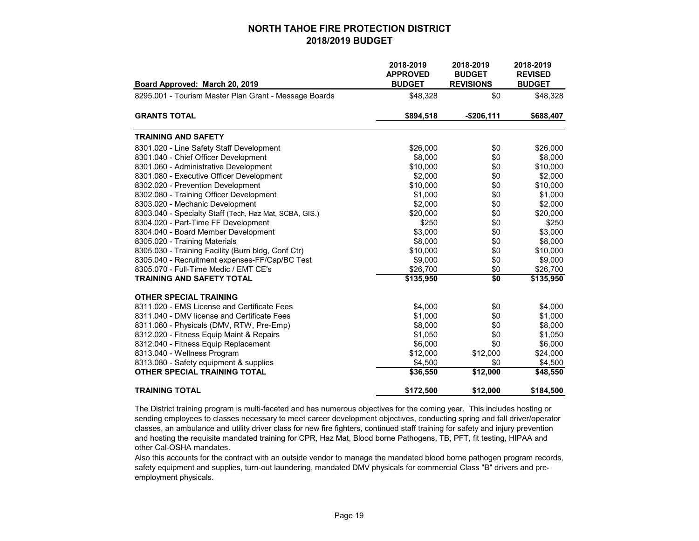|                                                        | 2018-2019<br><b>APPROVED</b> | 2018-2019<br><b>BUDGET</b> | 2018-2019<br><b>REVISED</b> |
|--------------------------------------------------------|------------------------------|----------------------------|-----------------------------|
| Board Approved: March 20, 2019                         | <b>BUDGET</b>                | <b>REVISIONS</b>           | <b>BUDGET</b>               |
| 8295.001 - Tourism Master Plan Grant - Message Boards  | \$48,328                     | \$0                        | \$48,328                    |
| <b>GRANTS TOTAL</b>                                    | \$894,518                    | $-$206,111$                | \$688,407                   |
| <b>TRAINING AND SAFETY</b>                             |                              |                            |                             |
| 8301.020 - Line Safety Staff Development               | \$26,000                     | \$0                        | \$26,000                    |
| 8301.040 - Chief Officer Development                   | \$8,000                      | \$0                        | \$8,000                     |
| 8301.060 - Administrative Development                  | \$10,000                     | \$0                        | \$10,000                    |
| 8301.080 - Executive Officer Development               | \$2,000                      | \$0                        | \$2,000                     |
| 8302.020 - Prevention Development                      | \$10,000                     | \$0                        | \$10,000                    |
| 8302.080 - Training Officer Development                | \$1,000                      | \$0                        | \$1,000                     |
| 8303.020 - Mechanic Development                        | \$2,000                      | \$0                        | \$2,000                     |
| 8303.040 - Specialty Staff (Tech, Haz Mat, SCBA, GIS.) | \$20,000                     | \$0                        | \$20,000                    |
| 8304.020 - Part-Time FF Development                    | \$250                        | \$0                        | \$250                       |
| 8304.040 - Board Member Development                    | \$3,000                      | \$0                        | \$3,000                     |
| 8305.020 - Training Materials                          | \$8,000                      | \$0                        | \$8,000                     |
| 8305.030 - Training Facility (Burn bldg, Conf Ctr)     | \$10,000                     | \$0                        | \$10,000                    |
| 8305.040 - Recruitment expenses-FF/Cap/BC Test         | \$9,000                      | \$0                        | \$9,000                     |
| 8305.070 - Full-Time Medic / EMT CE's                  | \$26,700                     | \$0                        | \$26,700                    |
| <b>TRAINING AND SAFETY TOTAL</b>                       | \$135,950                    | \$0                        | \$135,950                   |
| <b>OTHER SPECIAL TRAINING</b>                          |                              |                            |                             |
| 8311.020 - EMS License and Certificate Fees            | \$4,000                      | \$0                        | \$4,000                     |
| 8311.040 - DMV license and Certificate Fees            | \$1,000                      | \$0                        | \$1,000                     |
| 8311.060 - Physicals (DMV, RTW, Pre-Emp)               | \$8,000                      | \$0                        | \$8,000                     |
| 8312.020 - Fitness Equip Maint & Repairs               | \$1,050                      | \$0                        | \$1,050                     |
| 8312.040 - Fitness Equip Replacement                   | \$6,000                      | \$0                        | \$6,000                     |
| 8313.040 - Wellness Program                            | \$12,000                     | \$12,000                   | \$24,000                    |
| 8313.080 - Safety equipment & supplies                 | \$4,500                      | \$0                        | \$4,500                     |
| <b>OTHER SPECIAL TRAINING TOTAL</b>                    | \$36,550                     | \$12,000                   | \$48,550                    |
| <b>TRAINING TOTAL</b>                                  | \$172,500                    | \$12,000                   | \$184,500                   |

The District training program is multi-faceted and has numerous objectives for the coming year. This includes hosting or sending employees to classes necessary to meet career development objectives, conducting spring and fall driver/operator classes, an ambulance and utility driver class for new fire fighters, continued staff training for safety and injury prevention and hosting the requisite mandated training for CPR, Haz Mat, Blood borne Pathogens, TB, PFT, fit testing, HIPAA and other Cal-OSHA mandates.

Also this accounts for the contract with an outside vendor to manage the mandated blood borne pathogen program records, safety equipment and supplies, turn-out laundering, mandated DMV physicals for commercial Class "B" drivers and preemployment physicals.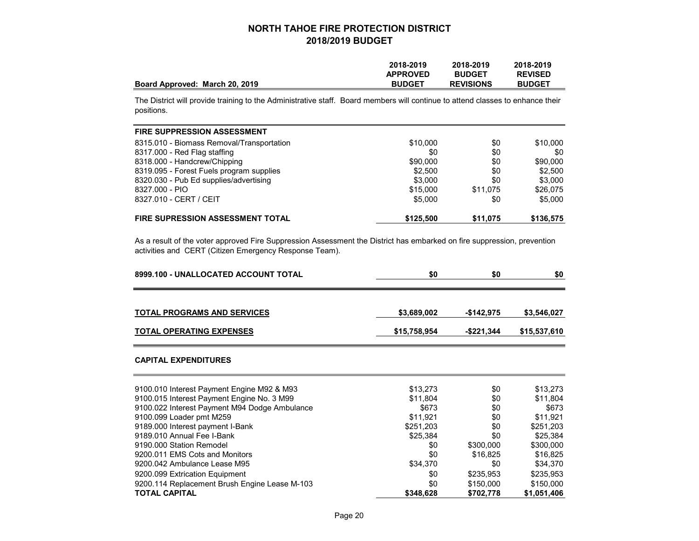|                                | 2018-2019       | 2018-2019        | 2018-2019      |
|--------------------------------|-----------------|------------------|----------------|
|                                | <b>APPROVED</b> | <b>BUDGET</b>    | <b>REVISED</b> |
| Board Approved: March 20, 2019 | <b>BUDGET</b>   | <b>REVISIONS</b> | <b>BUDGET</b>  |

The District will provide training to the Administrative staff. Board members will continue to attend classes to enhance their positions.

| FIRE SUPPRESSION ASSESSMENT               |           |          |           |
|-------------------------------------------|-----------|----------|-----------|
| 8315.010 - Biomass Removal/Transportation | \$10,000  | \$0      | \$10,000  |
| 8317.000 - Red Flag staffing              | \$0       | \$0      | \$0       |
| 8318.000 - Handcrew/Chipping              | \$90,000  | \$0      | \$90,000  |
| 8319.095 - Forest Fuels program supplies  | \$2,500   | \$0      | \$2,500   |
| 8320.030 - Pub Ed supplies/advertising    | \$3,000   | \$0      | \$3,000   |
| 8327.000 - PIO                            | \$15,000  | \$11.075 | \$26,075  |
| 8327.010 - CERT / CEIT                    | \$5,000   | \$0      | \$5,000   |
| <b>FIRE SUPRESSION ASSESSMENT TOTAL</b>   | \$125,500 | \$11.075 | \$136,575 |

As a result of the voter approved Fire Suppression Assessment the District has embarked on fire suppression, prevention activities and CERT (Citizen Emergency Response Team).

| 8999.100 - UNALLOCATED ACCOUNT TOTAL          | \$0          | \$0         | \$0          |
|-----------------------------------------------|--------------|-------------|--------------|
| <b>TOTAL PROGRAMS AND SERVICES</b>            | \$3,689,002  | $-$142,975$ | \$3,546,027  |
| <b>TOTAL OPERATING EXPENSES</b>               | \$15,758,954 | -\$221,344  | \$15,537,610 |
| <b>CAPITAL EXPENDITURES</b>                   |              |             |              |
| 9100.010 Interest Payment Engine M92 & M93    | \$13,273     | \$0         | \$13,273     |
| 9100.015 Interest Payment Engine No. 3 M99    | \$11,804     | \$0         | \$11,804     |
| 9100.022 Interest Payment M94 Dodge Ambulance | \$673        | \$0         | \$673        |
| 9100.099 Loader pmt M259                      | \$11,921     | \$0         | \$11,921     |
| 9189.000 Interest payment I-Bank              | \$251,203    | \$0         | \$251,203    |
| 9189.010 Annual Fee I-Bank                    | \$25,384     | \$0         | \$25,384     |
| 9190.000 Station Remodel                      | \$0          | \$300,000   | \$300,000    |
| 9200.011 EMS Cots and Monitors                | \$0          | \$16,825    | \$16,825     |
| 9200.042 Ambulance Lease M95                  | \$34,370     | \$0         | \$34,370     |
| 9200.099 Extrication Equipment                | \$0          | \$235,953   | \$235,953    |
| 9200.114 Replacement Brush Engine Lease M-103 | \$0          | \$150,000   | \$150,000    |
| <b>TOTAL CAPITAL</b>                          | \$348,628    | \$702,778   | \$1,051,406  |